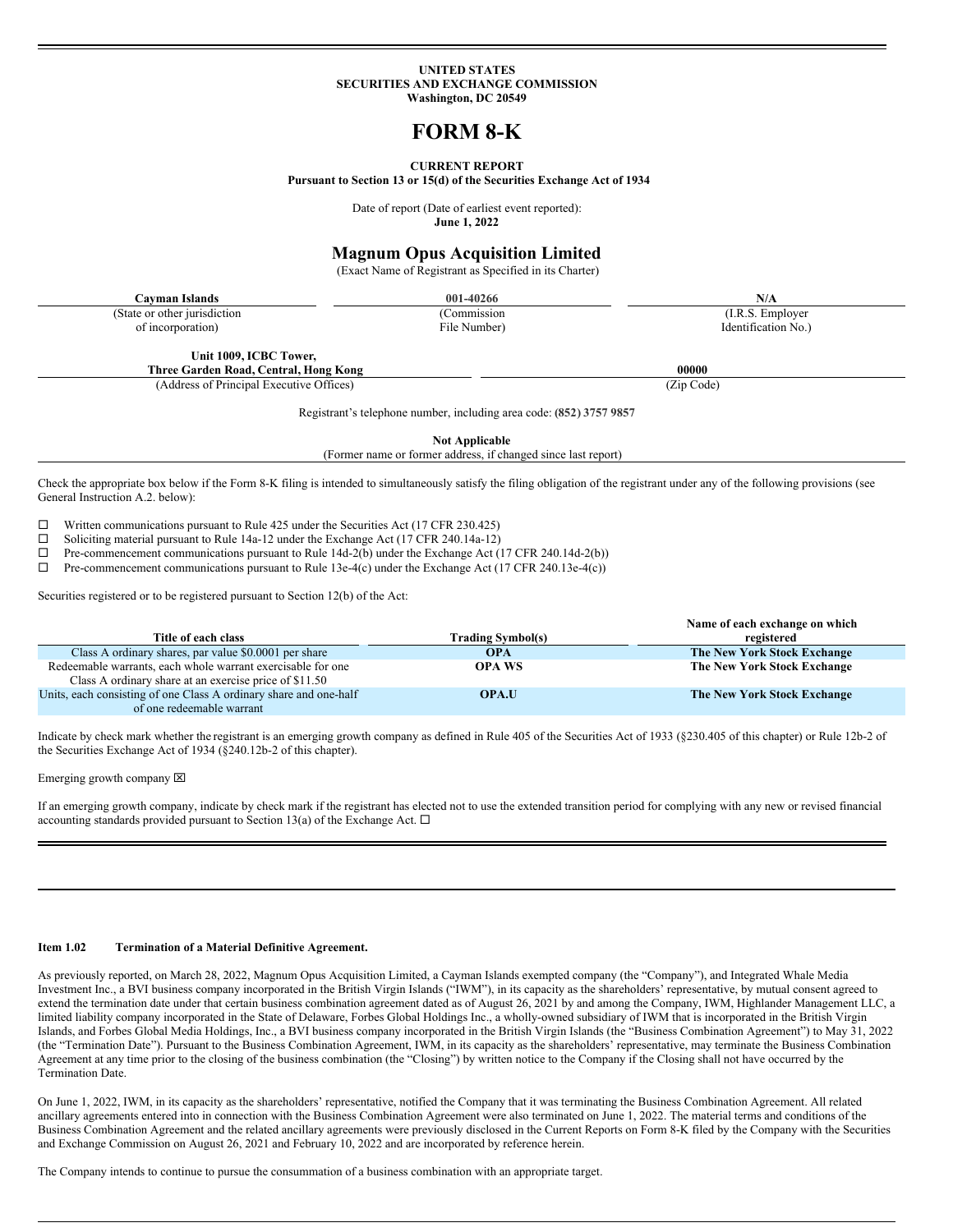### **UNITED STATES SECURITIES AND EXCHANGE COMMISSION Washington, DC 20549**

# **FORM 8-K**

### **CURRENT REPORT**

**Pursuant to Section 13 or 15(d) of the Securities Exchange Act of 1934**

Date of report (Date of earliest event reported): **June 1, 2022**

## **Magnum Opus Acquisition Limited**

(Exact Name of Registrant as Specified in its Charter)

(State or other jurisdiction of incorporation)

**Cayman Islands 001-40266 N/A** (Commission File Number)

(I.R.S. Employer Identification No.)

**Unit 1009, ICBC Tower, Three Garden Road, Central, Hong Kong 00000**

(Address of Principal Executive Offices) (Zip Code)

Registrant's telephone number, including area code: **(852) 3757 9857**

**Not Applicable**

(Former name or former address, if changed since last report)

Check the appropriate box below if the Form 8-K filing is intended to simultaneously satisfy the filing obligation of the registrant under any of the following provisions (see General Instruction A.2. below):

 $□$  Written communications pursuant to Rule 425 under the Securities Act (17 CFR 230.425)<br>
□ Soliciting material pursuant to Rule 14a-12 under the Exchange Act (17 CFR 240 14a-12)

<p>\n 21 Soliciting material pursuit to Rule 14a-12 under the Exchange Act (17 CFR 240.14a-12) \n 12. Pre-component communications pursuit to Rule 14d-2(b) under the Exchange Act (</p>

 $\Box$  Pre-commencement communications pursuant to Rule 14d-2(b) under the Exchange Act (17 CFR 240.14d-2(b))<br>  $\Box$  Pre-commencement communications pursuant to Rule 13e-4(c) under the Exchange Act (17 CFR 240.13e-4(c))

Pre-commencement communications pursuant to Rule 13e-4(c) under the Exchange Act (17 CFR 240.13e-4(c))

Securities registered or to be registered pursuant to Section 12(b) of the Act:

|                                                                   |                          | Name of each exchange on which     |
|-------------------------------------------------------------------|--------------------------|------------------------------------|
| Title of each class                                               | <b>Trading Symbol(s)</b> | registered                         |
| Class A ordinary shares, par value \$0,0001 per share             | <b>OPA</b>               | The New York Stock Exchange        |
| Redeemable warrants, each whole warrant exercisable for one       | <b>OPA WS</b>            | The New York Stock Exchange        |
| Class A ordinary share at an exercise price of \$11.50            |                          |                                    |
| Units, each consisting of one Class A ordinary share and one-half | <b>OPA.U</b>             | <b>The New York Stock Exchange</b> |
| of one redeemable warrant                                         |                          |                                    |

Indicate by check mark whether the registrant is an emerging growth company as defined in Rule 405 of the Securities Act of 1933 (§230.405 of this chapter) or Rule 12b-2 of the Securities Exchange Act of 1934 (§240.12b-2 of this chapter).

#### Emerging growth company  $[**X**]$

If an emerging growth company, indicate by check mark if the registrant has elected not to use the extended transition period for complying with any new or revised financial accounting standards provided pursuant to Section 13(a) of the Exchange Act.  $\Box$ 

### **Item 1.02 Termination of a Material Definitive Agreement.**

As previously reported, on March 28, 2022, Magnum Opus Acquisition Limited, a Cayman Islands exempted company (the "Company"), and Integrated Whale Media Investment Inc., a BVI business company incorporated in the British Virgin Islands ("IWM"), in its capacity as the shareholders' representative, by mutual consent agreed to extend the termination date under that certain business combination agreement dated as of August 26, 2021 by and among the Company, IWM, Highlander Management LLC, a limited liability company incorporated in the State of Delaware, Forbes Global Holdings Inc., a wholly-owned subsidiary of IWM that is incorporated in the British Virgin Islands, and Forbes Global Media Holdings, Inc., a BVI business company incorporated in the British Virgin Islands (the "Business Combination Agreement") to May 31, 2022 (the "Termination Date"). Pursuant to the Business Combination Agreement, IWM, in its capacity as the shareholders' representative, may terminate the Business Combination Agreement at any time prior to the closing of the business combination (the "Closing") by written notice to the Company if the Closing shall not have occurred by the Termination Date.

On June 1, 2022, IWM, in its capacity as the shareholders' representative, notified the Company that it was terminating the Business Combination Agreement. All related ancillary agreements entered into in connection with the Business Combination Agreement were also terminated on June 1, 2022. The material terms and conditions of the Business Combination Agreement and the related ancillary agreements were previously disclosed in the Current Reports on Form 8-K filed by the Company with the Securities and Exchange Commission on August 26, 2021 and February 10, 2022 and are incorporated by reference herein.

The Company intends to continue to pursue the consummation of a business combination with an appropriate target.